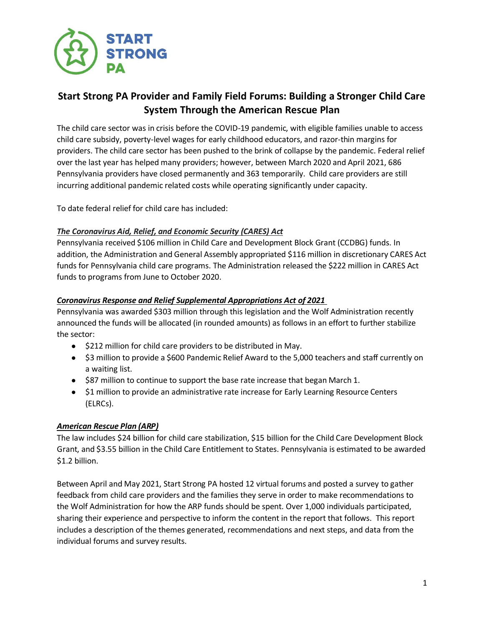

# **Start Strong PA Provider and Family Field Forums: Building a Stronger Child Care System Through the American Rescue Plan**

The child care sector was in crisis before the COVID-19 pandemic, with eligible families unable to access child care subsidy, poverty-level wages for early childhood educators, and razor-thin margins for providers. The child care sector has been pushed to the brink of collapse by the pandemic. Federal relief over the last year has helped many providers; however, between March 2020 and April 2021, 686 Pennsylvania providers have closed permanently and 363 temporarily. Child care providers are still incurring additional pandemic related costs while operating significantly under capacity.

To date federal relief for child care has included:

# *The Coronavirus Aid, Relief, and Economic Security (CARES) Act*

Pennsylvania received \$106 million in Child Care and Development Block Grant (CCDBG) funds. In addition, the Administration and General Assembly appropriated \$116 million in discretionary CARES Act funds for Pennsylvania child care programs. The Administration released the \$222 million in CARES Act funds to programs from June to October 2020.

# *Coronavirus Response and Relief Supplemental Appropriations Act of 2021*

Pennsylvania was awarded \$303 million through this legislation and the Wolf Administration recently announced the funds will be allocated (in rounded amounts) as follows in an effort to further stabilize the sector:

- \$212 million for child care providers to be distributed in May.
- \$3 million to provide a \$600 Pandemic Relief Award to the 5,000 teachers and staff currently on a waiting list.
- \$87 million to continue to support the base rate increase that began March 1.
- \$1 million to provide an administrative rate increase for Early Learning Resource Centers (ELRCs).

# *American Rescue Plan (ARP)*

The law includes \$24 billion for child care stabilization, \$15 billion for the Child Care Development Block Grant, and \$3.55 billion in the Child Care Entitlement to States. Pennsylvania is estimated to be awarded \$1.2 billion.

Between April and May 2021, Start Strong PA hosted 12 virtual forums and posted a survey to gather feedback from child care providers and the families they serve in order to make recommendations to the Wolf Administration for how the ARP funds should be spent. Over 1,000 individuals participated, sharing their experience and perspective to inform the content in the report that follows. This report includes a description of the themes generated, recommendations and next steps, and data from the individual forums and survey results.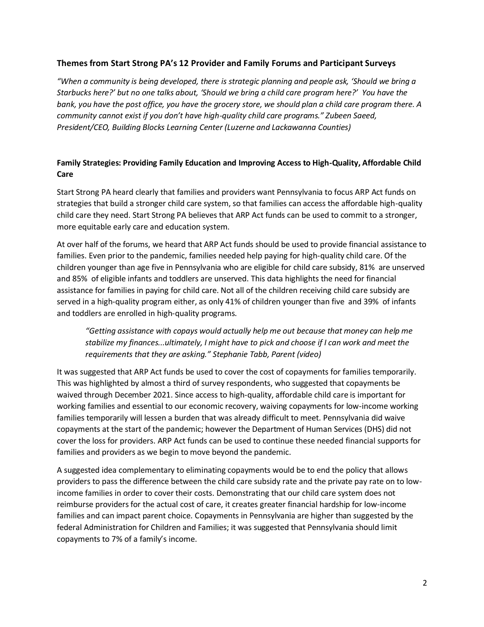#### **Themes from Start Strong PA's 12 Provider and Family Forums and Participant Surveys**

*"When a community is being developed, there is strategic planning and people ask, 'Should we bring a Starbucks here?' but no one talks about, 'Should we bring a child care program here?' You have the bank, you have the post office, you have the grocery store, we should plan a child care program there. A community cannot exist if you don't have high-quality child care programs." Zubeen Saeed, President/CEO, Building Blocks Learning Center (Luzerne and Lackawanna Counties)*

# **Family Strategies: Providing Family Education and Improving Access to High-Quality, Affordable Child Care**

Start Strong PA heard clearly that families and providers want Pennsylvania to focus ARP Act funds on strategies that build a stronger child care system, so that families can access the affordable high-quality child care they need. Start Strong PA believes that ARP Act funds can be used to commit to a stronger, more equitable early care and education system.

At over half of the forums, we heard that ARP Act funds should be used to provide financial assistance to families. Even prior to the pandemic, families needed help paying for high-quality child care. Of the children younger than age five in Pennsylvania who are eligible for child care subsidy, 81% are unserved and 85% of eligible infants and toddlers are unserved. This data highlights the need for financial assistance for families in paying for child care. Not all of the children receiving child care subsidy are served in a high-quality program either, as only 41% of children younger than five and 39% of infants and toddlers are enrolled in high-quality programs.

*"Getting assistance with copays would actually help me out because that money can help me stabilize my finances...ultimately, I might have to pick and choose if I can work and meet the requirements that they are asking." Stephanie Tabb, Parent (video)*

It was suggested that ARP Act funds be used to cover the cost of copayments for families temporarily. This was highlighted by almost a third of survey respondents, who suggested that copayments be waived through December 2021. Since access to high-quality, affordable child care is important for working families and essential to our economic recovery, waiving copayments for low-income working families temporarily will lessen a burden that was already difficult to meet. Pennsylvania did waive copayments at the start of the pandemic; however the Department of Human Services (DHS) did not cover the loss for providers. ARP Act funds can be used to continue these needed financial supports for families and providers as we begin to move beyond the pandemic.

A suggested idea complementary to eliminating copayments would be to end the policy that allows providers to pass the difference between the child care subsidy rate and the private pay rate on to lowincome families in order to cover their costs. Demonstrating that our child care system does not reimburse providers for the actual cost of care, it creates greater financial hardship for low-income families and can impact parent choice. Copayments in Pennsylvania are higher than suggested by the federal Administration for Children and Families; it was suggested that Pennsylvania should limit copayments to 7% of a family's income.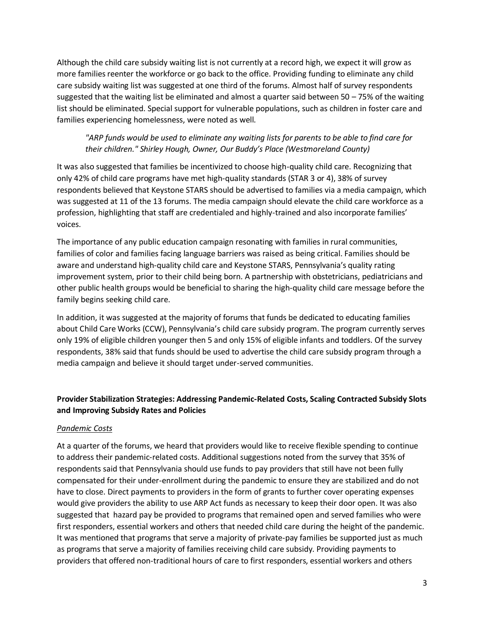Although the child care subsidy waiting list is not currently at a record high, we expect it will grow as more families reenter the workforce or go back to the office. Providing funding to eliminate any child care subsidy waiting list was suggested at one third of the forums. Almost half of survey respondents suggested that the waiting list be eliminated and almost a quarter said between 50 – 75% of the waiting list should be eliminated. Special support for vulnerable populations, such as children in foster care and families experiencing homelessness, were noted as well.

## *"ARP funds would be used to eliminate any waiting lists for parents to be able to find care for their children." Shirley Hough, Owner, Our Buddy's Place (Westmoreland County)*

It was also suggested that families be incentivized to choose high-quality child care. Recognizing that only 42% of child care programs have met high-quality standards (STAR 3 or 4), 38% of survey respondents believed that Keystone STARS should be advertised to families via a media campaign, which was suggested at 11 of the 13 forums. The media campaign should elevate the child care workforce as a profession, highlighting that staff are credentialed and highly-trained and also incorporate families' voices.

The importance of any public education campaign resonating with families in rural communities, families of color and families facing language barriers was raised as being critical. Families should be aware and understand high-quality child care and Keystone STARS, Pennsylvania's quality rating improvement system, prior to their child being born. A partnership with obstetricians, pediatricians and other public health groups would be beneficial to sharing the high-quality child care message before the family begins seeking child care.

In addition, it was suggested at the majority of forums that funds be dedicated to educating families about Child Care Works (CCW), Pennsylvania's child care subsidy program. The program currently serves only 19% of eligible children younger then 5 and only 15% of eligible infants and toddlers. Of the survey respondents, 38% said that funds should be used to advertise the child care subsidy program through a media campaign and believe it should target under-served communities.

# **Provider Stabilization Strategies: Addressing Pandemic-Related Costs, Scaling Contracted Subsidy Slots and Improving Subsidy Rates and Policies**

#### *Pandemic Costs*

At a quarter of the forums, we heard that providers would like to receive flexible spending to continue to address their pandemic-related costs. Additional suggestions noted from the survey that 35% of respondents said that Pennsylvania should use funds to pay providers that still have not been fully compensated for their under-enrollment during the pandemic to ensure they are stabilized and do not have to close. Direct payments to providers in the form of grants to further cover operating expenses would give providers the ability to use ARP Act funds as necessary to keep their door open. It was also suggested that hazard pay be provided to programs that remained open and served families who were first responders, essential workers and others that needed child care during the height of the pandemic. It was mentioned that programs that serve a majority of private-pay families be supported just as much as programs that serve a majority of families receiving child care subsidy. Providing payments to providers that offered non-traditional hours of care to first responders, essential workers and others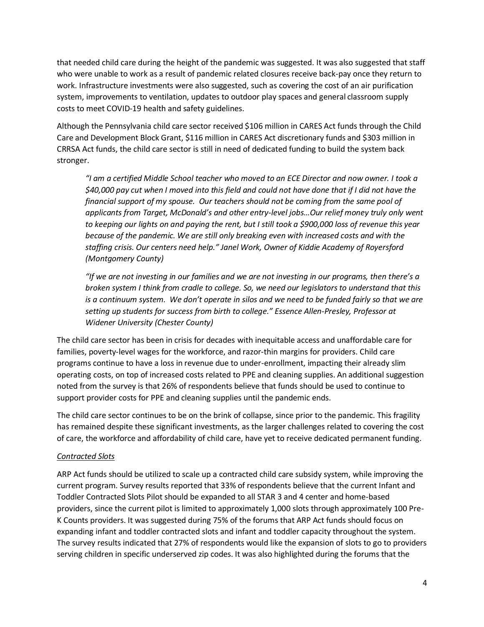that needed child care during the height of the pandemic was suggested. It was also suggested that staff who were unable to work as a result of pandemic related closures receive back-pay once they return to work. Infrastructure investments were also suggested, such as covering the cost of an air purification system, improvements to ventilation, updates to outdoor play spaces and general classroom supply costs to meet COVID-19 health and safety guidelines.

Although the Pennsylvania child care sector received \$106 million in CARES Act funds through the Child Care and Development Block Grant, \$116 million in CARES Act discretionary funds and \$303 million in CRRSA Act funds, the child care sector is still in need of dedicated funding to build the system back stronger.

*"I am a certified Middle School teacher who moved to an ECE Director and now owner. I took a \$40,000 pay cut when I moved into this field and could not have done that if I did not have the financial support of my spouse. Our teachers should not be coming from the same pool of applicants from Target, McDonald's and other entry-level jobs…Our relief money truly only went to keeping our lights on and paying the rent, but I still took a \$900,000 loss of revenue this year because of the pandemic. We are still only breaking even with increased costs and with the staffing crisis. Our centers need help." Janel Work, Owner of Kiddie Academy of Royersford (Montgomery County)*

*"If we are not investing in our families and we are not investing in our programs, then there's a broken system I think from cradle to college. So, we need our legislators to understand that this*  is a continuum system. We don't operate in silos and we need to be funded fairly so that we are *setting up students for success from birth to college." Essence Allen-Presley, Professor at Widener University (Chester County)*

The child care sector has been in crisis for decades with inequitable access and unaffordable care for families, poverty-level wages for the workforce, and razor-thin margins for providers. Child care programs continue to have a loss in revenue due to under-enrollment, impacting their already slim operating costs, on top of increased costs related to PPE and cleaning supplies. An additional suggestion noted from the survey is that 26% of respondents believe that funds should be used to continue to support provider costs for PPE and cleaning supplies until the pandemic ends.

The child care sector continues to be on the brink of collapse, since prior to the pandemic. This fragility has remained despite these significant investments, as the larger challenges related to covering the cost of care, the workforce and affordability of child care, have yet to receive dedicated permanent funding.

## *Contracted Slots*

ARP Act funds should be utilized to scale up a contracted child care subsidy system, while improving the current program. Survey results reported that 33% of respondents believe that the current Infant and Toddler Contracted Slots Pilot should be expanded to all STAR 3 and 4 center and home-based providers, since the current pilot is limited to approximately 1,000 slots through approximately 100 Pre-K Counts providers. It was suggested during 75% of the forums that ARP Act funds should focus on expanding infant and toddler contracted slots and infant and toddler capacity throughout the system. The survey results indicated that 27% of respondents would like the expansion of slots to go to providers serving children in specific underserved zip codes. It was also highlighted during the forums that the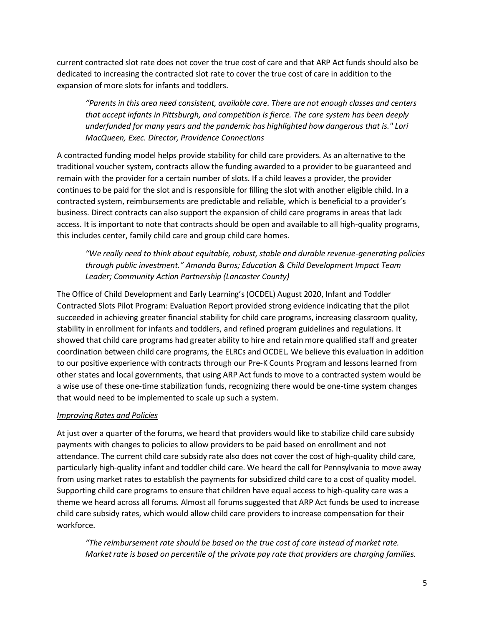current contracted slot rate does not cover the true cost of care and that ARP Act funds should also be dedicated to increasing the contracted slot rate to cover the true cost of care in addition to the expansion of more slots for infants and toddlers.

*"Parents in this area need consistent, available care. There are not enough classes and centers that accept infants in Pittsburgh, and competition is fierce. The care system has been deeply underfunded for many years and the pandemic has highlighted how dangerous that is." Lori MacQueen, Exec. Director, Providence Connections* 

A contracted funding model helps provide stability for child care providers. As an alternative to the traditional voucher system, contracts allow the funding awarded to a provider to be guaranteed and remain with the provider for a certain number of slots. If a child leaves a provider, the provider continues to be paid for the slot and is responsible for filling the slot with another eligible child. In a contracted system, reimbursements are predictable and reliable, which is beneficial to a provider's business. Direct contracts can also support the expansion of child care programs in areas that lack access. It is important to note that contracts should be open and available to all high-quality programs, this includes center, family child care and group child care homes.

*"We really need to think about equitable, robust, stable and durable revenue-generating policies through public investment." Amanda Burns; Education & Child Development Impact Team Leader; Community Action Partnership (Lancaster County)*

The Office of Child Development and Early Learning's (OCDEL) August 2020, Infant and Toddler Contracted Slots Pilot Program: Evaluation Report provided strong evidence indicating that the pilot succeeded in achieving greater financial stability for child care programs, increasing classroom quality, stability in enrollment for infants and toddlers, and refined program guidelines and regulations. It showed that child care programs had greater ability to hire and retain more qualified staff and greater coordination between child care programs, the ELRCs and OCDEL. We believe this evaluation in addition to our positive experience with contracts through our Pre-K Counts Program and lessons learned from other states and local governments, that using ARP Act funds to move to a contracted system would be a wise use of these one-time stabilization funds, recognizing there would be one-time system changes that would need to be implemented to scale up such a system.

## *Improving Rates and Policies*

At just over a quarter of the forums, we heard that providers would like to stabilize child care subsidy payments with changes to policies to allow providers to be paid based on enrollment and not attendance. The current child care subsidy rate also does not cover the cost of high-quality child care, particularly high-quality infant and toddler child care. We heard the call for Pennsylvania to move away from using market rates to establish the payments for subsidized child care to a cost of quality model. Supporting child care programs to ensure that children have equal access to high-quality care was a theme we heard across all forums. Almost all forums suggested that ARP Act funds be used to increase child care subsidy rates, which would allow child care providers to increase compensation for their workforce.

*"The reimbursement rate should be based on the true cost of care instead of market rate. Market rate is based on percentile of the private pay rate that providers are charging families.*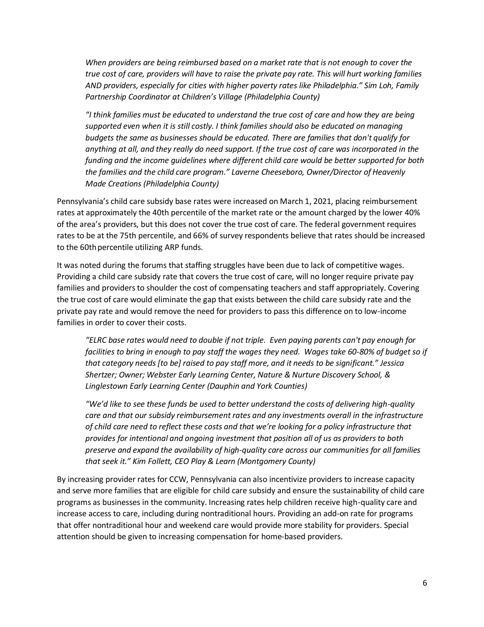*When providers are being reimbursed based on a market rate that is not enough to cover the true cost of care, providers will have to raise the private pay rate. This will hurt working families AND providers, especially for cities with higher poverty rates like Philadelphia." Sim Loh, Family Partnership Coordinator at Children's Village (Philadelphia County)*

"I think families must be educated to understand the true cost of care and how they are being *supported even when it is still costly. I think families should also be educated on managing budgets the same as businesses should be educated. There are families that don't qualify for anything at all, and they really do need support. If the true cost of care was incorporated in the funding and the income guidelines where different child care would be better supported for both the families and the child care program." Laverne Cheeseboro, Owner/Director of Heavenly Made Creations (Philadelphia County)*

Pennsylvania's child care subsidy base rates were increased on March 1, 2021, placing reimbursement rates at approximately the 40th percentile of the market rate or the amount charged by the lower 40% of the area's providers, but this does not cover the true cost of care. The federal government requires rates to be at the 75th percentile, and 66% of survey respondents believe that rates should be increased to the 60th percentile utilizing ARP funds.

It was noted during the forums that staffing struggles have been due to lack of competitive wages. Providing a child care subsidy rate that covers the true cost of care, will no longer require private pay families and providers to shoulder the cost of compensating teachers and staff appropriately. Covering the true cost of care would eliminate the gap that exists between the child care subsidy rate and the private pay rate and would remove the need for providers to pass this difference on to low-income families in order to cover their costs.

*"ELRC base rates would need to double if not triple. Even paying parents can't pay enough for facilities to bring in enough to pay staff the wages they need. Wages take 60-80% of budget so if that category needs [to be] raised to pay staff more, and it needs to be significant." Jessica Shertzer; Owner; Webster Early Learning Center, Nature & Nurture Discovery School, & Linglestown Early Learning Center (Dauphin and York Counties)*

*"We'd like to see these funds be used to better understand the costs of delivering high-quality care and that our subsidy reimbursement rates and any investments overall in the infrastructure of child care need to reflect these costs and that we're looking for a policy infrastructure that provides for intentional and ongoing investment that position all of us as providers to both preserve and expand the availability of high-quality care across our communities for all families that seek it." Kim Follett, CEO Play & Learn (Montgomery County)*

By increasing provider rates for CCW, Pennsylvania can also incentivize providers to increase capacity and serve more families that are eligible for child care subsidy and ensure the sustainability of child care programs as businesses in the community. Increasing rates help children receive high-quality care and increase access to care, including during nontraditional hours. Providing an add-on rate for programs that offer nontraditional hour and weekend care would provide more stability for providers. Special attention should be given to increasing compensation for home-based providers.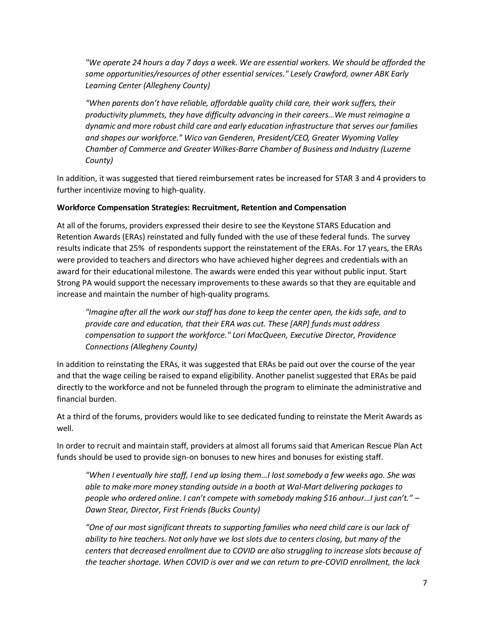*"We operate 24 hours a day 7 days a week. We are essential workers. We should be afforded the same opportunities/resources of other essential services." Lesely Crawford, owner ABK Early Learning Center (Allegheny County)*

*"When parents don't have reliable, affordable quality child care, their work suffers, their productivity plummets, they have difficulty advancing in their careers…We must reimagine a dynamic and more robust child care and early education infrastructure that serves our families and shapes our workforce." Wico van Genderen, President/CEO, Greater Wyoming Valley Chamber of Commerce and Greater Wilkes-Barre Chamber of Business and Industry (Luzerne County)*

In addition, it was suggested that tiered reimbursement rates be increased for STAR 3 and 4 providers to further incentivize moving to high-quality.

## **Workforce Compensation Strategies: Recruitment, Retention and Compensation**

At all of the forums, providers expressed their desire to see the Keystone STARS Education and Retention Awards (ERAs) reinstated and fully funded with the use of these federal funds. The survey results indicate that 25% of respondents support the reinstatement of the ERAs. For 17 years, the ERAs were provided to teachers and directors who have achieved higher degrees and credentials with an award for their educational milestone. The awards were ended this year without public input. Start Strong PA would support the necessary improvements to these awards so that they are equitable and increase and maintain the number of high-quality programs.

*"Imagine after all the work our staff has done to keep the center open, the kids safe, and to provide care and education, that their ERA was cut. These [ARP] funds must address compensation to support the workforce." Lori MacQueen, Executive Director, Providence Connections (Allegheny County)*

In addition to reinstating the ERAs, it was suggested that ERAs be paid out over the course of the year and that the wage ceiling be raised to expand eligibility. Another panelist suggested that ERAs be paid directly to the workforce and not be funneled through the program to eliminate the administrative and financial burden.

At a third of the forums, providers would like to see dedicated funding to reinstate the Merit Awards as well.

In order to recruit and maintain staff, providers at almost all forums said that American Rescue Plan Act funds should be used to provide sign-on bonuses to new hires and bonuses for existing staff.

*"When I eventually hire staff, I end up losing them…I lost somebody a few weeks ago. She was able to make more money standing outside in a booth at Wal-Mart delivering packages to people who ordered online. I can't compete with somebody making \$16 anhour…I just can't." – Dawn Stear, Director, First Friends (Bucks County)*

*"One of our most significant threats to supporting families who need child care is our lack of ability to hire teachers. Not only have we lost slots due to centers closing, but many of the centers that decreased enrollment due to COVID are also struggling to increase slots because of the teacher shortage. When COVID is over and we can return to pre-COVID enrollment, the lack*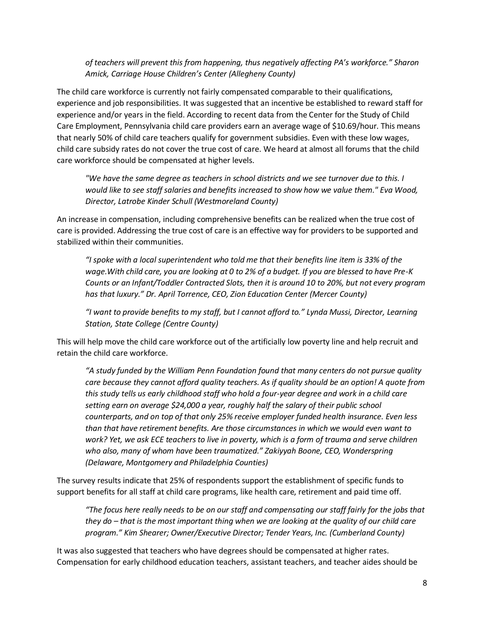*of teachers will prevent this from happening, thus negatively affecting PA's workforce." Sharon Amick, Carriage House Children's Center (Allegheny County)*

The child care workforce is currently not fairly compensated comparable to their qualifications, experience and job responsibilities. It was suggested that an incentive be established to reward staff for experience and/or years in the field. According to recent data from the Center for the Study of Child Care Employment, Pennsylvania child care providers earn an average wage of \$10.69/hour. This means that nearly 50% of child care teachers qualify for government subsidies. Even with these low wages, child care subsidy rates do not cover the true cost of care. We heard at almost all forums that the child care workforce should be compensated at higher levels.

*"We have the same degree as teachers in school districts and we see turnover due to this. I would like to see staff salaries and benefits increased to show how we value them." Eva Wood, Director, Latrobe Kinder Schull (Westmoreland County)*

An increase in compensation, including comprehensive benefits can be realized when the true cost of care is provided. Addressing the true cost of care is an effective way for providers to be supported and stabilized within their communities.

*"I spoke with a local superintendent who told me that their benefits line item is 33% of the wage.With child care, you are looking at 0 to 2% of a budget. If you are blessed to have Pre-K Counts or an Infant/Toddler Contracted Slots, then it is around 10 to 20%, but not every program has that luxury." Dr. April Torrence, CEO, Zion Education Center (Mercer County)*

*"I want to provide benefits to my staff, but I cannot afford to." Lynda Mussi, Director, Learning Station, State College (Centre County)*

This will help move the child care workforce out of the artificially low poverty line and help recruit and retain the child care workforce.

*"A study funded by the William Penn Foundation found that many centers do not pursue quality care because they cannot afford quality teachers. As if quality should be an option! A quote from this study tells us early childhood staff who hold a four-year degree and work in a child care setting earn on average \$24,000 a year, roughly half the salary of their public school counterparts, and on top of that only 25% receive employer funded health insurance. Even less than that have retirement benefits. Are those circumstances in which we would even want to work? Yet, we ask ECE teachers to live in poverty, which is a form of trauma and serve children who also, many of whom have been traumatized." Zakiyyah Boone, CEO, Wonderspring (Delaware, Montgomery and Philadelphia Counties)*

The survey results indicate that 25% of respondents support the establishment of specific funds to support benefits for all staff at child care programs, like health care, retirement and paid time off.

*"The focus here really needs to be on our staff and compensating our staff fairly for the jobs that they do – that is the most important thing when we are looking at the quality of our child care program." Kim Shearer; Owner/Executive Director; Tender Years, Inc. (Cumberland County)*

It was also suggested that teachers who have degrees should be compensated at higher rates. Compensation for early childhood education teachers, assistant teachers, and teacher aides should be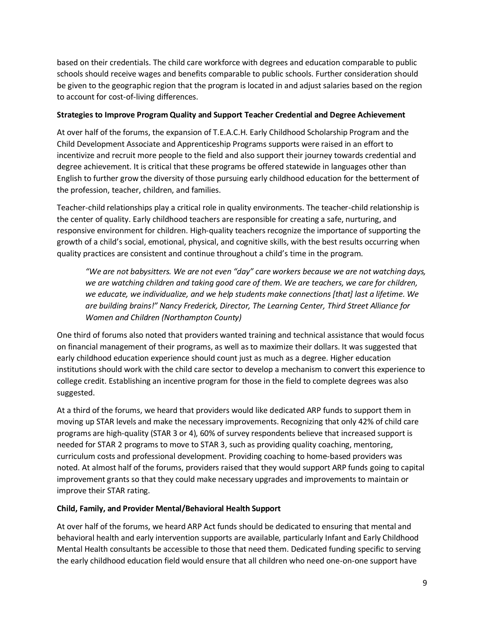based on their credentials. The child care workforce with degrees and education comparable to public schools should receive wages and benefits comparable to public schools. Further consideration should be given to the geographic region that the program is located in and adjust salaries based on the region to account for cost-of-living differences.

#### **Strategies to Improve Program Quality and Support Teacher Credential and Degree Achievement**

At over half of the forums, the expansion of T.E.A.C.H. Early Childhood Scholarship Program and the Child Development Associate and Apprenticeship Programs supports were raised in an effort to incentivize and recruit more people to the field and also support their journey towards credential and degree achievement. It is critical that these programs be offered statewide in languages other than English to further grow the diversity of those pursuing early childhood education for the betterment of the profession, teacher, children, and families.

Teacher-child relationships play a critical role in quality environments. The teacher-child relationship is the center of quality. Early childhood teachers are responsible for creating a safe, nurturing, and responsive environment for children. High-quality teachers recognize the importance of supporting the growth of a child's social, emotional, physical, and cognitive skills, with the best results occurring when quality practices are consistent and continue throughout a child's time in the program.

*"We are not babysitters. We are not even "day" care workers because we are not watching days, we are watching children and taking good care of them. We are teachers, we care for children, we educate, we individualize, and we help students make connections [that] last a lifetime. We are building brains!" Nancy Frederick, Director, The Learning Center, Third Street Alliance for Women and Children (Northampton County)*

One third of forums also noted that providers wanted training and technical assistance that would focus on financial management of their programs, as well as to maximize their dollars. It was suggested that early childhood education experience should count just as much as a degree. Higher education institutions should work with the child care sector to develop a mechanism to convert this experience to college credit. Establishing an incentive program for those in the field to complete degrees was also suggested.

At a third of the forums, we heard that providers would like dedicated ARP funds to support them in moving up STAR levels and make the necessary improvements. Recognizing that only 42% of child care programs are high-quality (STAR 3 or 4), 60% of survey respondents believe that increased support is needed for STAR 2 programs to move to STAR 3, such as providing quality coaching, mentoring, curriculum costs and professional development. Providing coaching to home-based providers was noted. At almost half of the forums, providers raised that they would support ARP funds going to capital improvement grants so that they could make necessary upgrades and improvements to maintain or improve their STAR rating.

## **Child, Family, and Provider Mental/Behavioral Health Support**

At over half of the forums, we heard ARP Act funds should be dedicated to ensuring that mental and behavioral health and early intervention supports are available, particularly Infant and Early Childhood Mental Health consultants be accessible to those that need them. Dedicated funding specific to serving the early childhood education field would ensure that all children who need one-on-one support have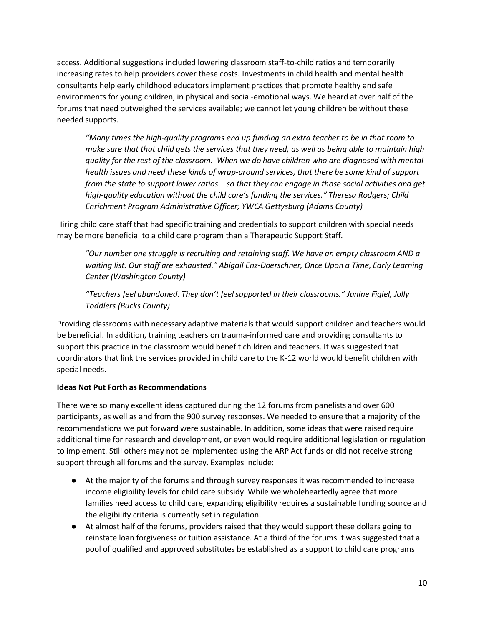access. Additional suggestions included lowering classroom staff-to-child ratios and temporarily increasing rates to help providers cover these costs. Investments in child health and mental health consultants help early childhood educators implement practices that promote healthy and safe environments for young children, in physical and social-emotional ways. We heard at over half of the forums that need outweighed the services available; we cannot let young children be without these needed supports.

*"Many times the high-quality programs end up funding an extra teacher to be in that room to make sure that that child gets the services that they need, as well as being able to maintain high quality for the rest of the classroom. When we do have children who are diagnosed with mental health issues and need these kinds of wrap-around services, that there be some kind of support from the state to support lower ratios – so that they can engage in those social activities and get high-quality education without the child care's funding the services." Theresa Rodgers; Child Enrichment Program Administrative Officer; YWCA Gettysburg (Adams County)*

Hiring child care staff that had specific training and credentials to support children with special needs may be more beneficial to a child care program than a Therapeutic Support Staff.

*"Our number one struggle is recruiting and retaining staff. We have an empty classroom AND a*  waiting list. Our staff are exhausted." Abigail Enz-Doerschner, Once Upon a Time, Early Learning *Center (Washington County)*

*"Teachers feel abandoned. They don't feel supported in their classrooms." Janine Figiel, Jolly Toddlers (Bucks County)*

Providing classrooms with necessary adaptive materials that would support children and teachers would be beneficial. In addition, training teachers on trauma-informed care and providing consultants to support this practice in the classroom would benefit children and teachers. It was suggested that coordinators that link the services provided in child care to the K-12 world would benefit children with special needs.

## **Ideas Not Put Forth as Recommendations**

There were so many excellent ideas captured during the 12 forums from panelists and over 600 participants, as well as and from the 900 survey responses. We needed to ensure that a majority of the recommendations we put forward were sustainable. In addition, some ideas that were raised require additional time for research and development, or even would require additional legislation or regulation to implement. Still others may not be implemented using the ARP Act funds or did not receive strong support through all forums and the survey. Examples include:

- At the majority of the forums and through survey responses it was recommended to increase income eligibility levels for child care subsidy. While we wholeheartedly agree that more families need access to child care, expanding eligibility requires a sustainable funding source and the eligibility criteria is currently set in regulation.
- At almost half of the forums, providers raised that they would support these dollars going to reinstate loan forgiveness or tuition assistance. At a third of the forums it was suggested that a pool of qualified and approved substitutes be established as a support to child care programs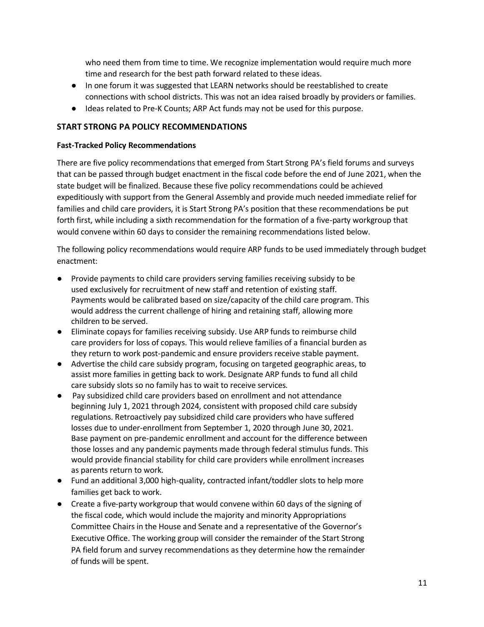who need them from time to time. We recognize implementation would require much more time and research for the best path forward related to these ideas.

- In one forum it was suggested that LEARN networks should be reestablished to create connections with school districts. This was not an idea raised broadly by providers or families.
- Ideas related to Pre-K Counts; ARP Act funds may not be used for this purpose.

# **START STRONG PA POLICY RECOMMENDATIONS**

#### **Fast-Tracked Policy Recommendations**

There are five policy recommendations that emerged from Start Strong PA's field forums and surveys that can be passed through budget enactment in the fiscal code before the end of June 2021, when the state budget will be finalized. Because these five policy recommendations could be achieved expeditiously with support from the General Assembly and provide much needed immediate relief for families and child care providers, it is Start Strong PA's position that these recommendations be put forth first, while including a sixth recommendation for the formation of a five-party workgroup that would convene within 60 days to consider the remaining recommendations listed below.

The following policy recommendations would require ARP funds to be used immediately through budget enactment:

- Provide payments to child care providers serving families receiving subsidy to be used exclusively for recruitment of new staff and retention of existing staff. Payments would be calibrated based on size/capacity of the child care program. This would address the current challenge of hiring and retaining staff, allowing more children to be served.
- Eliminate copays for families receiving subsidy. Use ARP funds to reimburse child care providers for loss of copays. This would relieve families of a financial burden as they return to work post-pandemic and ensure providers receive stable payment.
- Advertise the child care subsidy program, focusing on targeted geographic areas, to assist more families in getting back to work. Designate ARP funds to fund all child care subsidy slots so no family has to wait to receive services.
- Pay subsidized child care providers based on enrollment and not attendance beginning July 1, 2021 through 2024, consistent with proposed child care subsidy regulations. Retroactively pay subsidized child care providers who have suffered losses due to under-enrollment from September 1, 2020 through June 30, 2021. Base payment on pre-pandemic enrollment and account for the difference between those losses and any pandemic payments made through federal stimulus funds. This would provide financial stability for child care providers while enrollment increases as parents return to work.
- Fund an additional 3,000 high-quality, contracted infant/toddler slots to help more families get back to work.
- Create a five-party workgroup that would convene within 60 days of the signing of the fiscal code, which would include the majority and minority Appropriations Committee Chairs in the House and Senate and a representative of the Governor's Executive Office. The working group will consider the remainder of the Start Strong PA field forum and survey recommendations as they determine how the remainder of funds will be spent.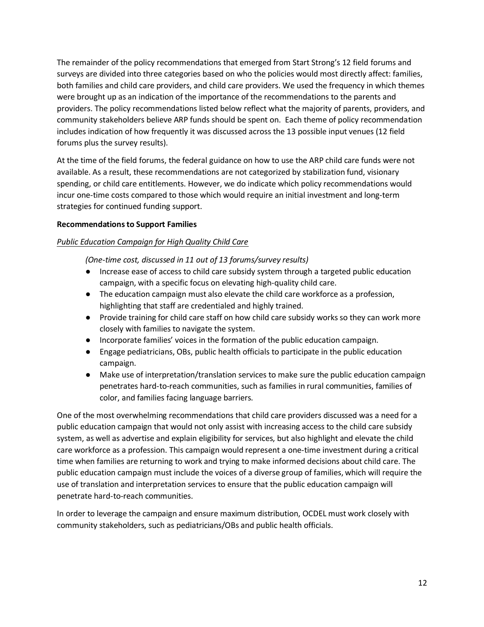The remainder of the policy recommendations that emerged from Start Strong's 12 field forums and surveys are divided into three categories based on who the policies would most directly affect: families, both families and child care providers, and child care providers. We used the frequency in which themes were brought up as an indication of the importance of the recommendations to the parents and providers. The policy recommendations listed below reflect what the majority of parents, providers, and community stakeholders believe ARP funds should be spent on. Each theme of policy recommendation includes indication of how frequently it was discussed across the 13 possible input venues (12 field forums plus the survey results).

At the time of the field forums, the federal guidance on how to use the ARP child care funds were not available. As a result, these recommendations are not categorized by stabilization fund, visionary spending, or child care entitlements. However, we do indicate which policy recommendations would incur one-time costs compared to those which would require an initial investment and long-term strategies for continued funding support.

## **Recommendations to Support Families**

#### *Public Education Campaign for High Quality Child Care*

*(One-time cost, discussed in 11 out of 13 forums/survey results)*

- Increase ease of access to child care subsidy system through a targeted public education campaign, with a specific focus on elevating high-quality child care.
- The education campaign must also elevate the child care workforce as a profession, highlighting that staff are credentialed and highly trained.
- Provide training for child care staff on how child care subsidy works so they can work more closely with families to navigate the system.
- Incorporate families' voices in the formation of the public education campaign.
- Engage pediatricians, OBs, public health officials to participate in the public education campaign.
- Make use of interpretation/translation services to make sure the public education campaign penetrates hard-to-reach communities, such as families in rural communities, families of color, and families facing language barriers.

One of the most overwhelming recommendations that child care providers discussed was a need for a public education campaign that would not only assist with increasing access to the child care subsidy system, as well as advertise and explain eligibility for services, but also highlight and elevate the child care workforce as a profession. This campaign would represent a one-time investment during a critical time when families are returning to work and trying to make informed decisions about child care. The public education campaign must include the voices of a diverse group of families, which will require the use of translation and interpretation services to ensure that the public education campaign will penetrate hard-to-reach communities.

In order to leverage the campaign and ensure maximum distribution, OCDEL must work closely with community stakeholders, such as pediatricians/OBs and public health officials.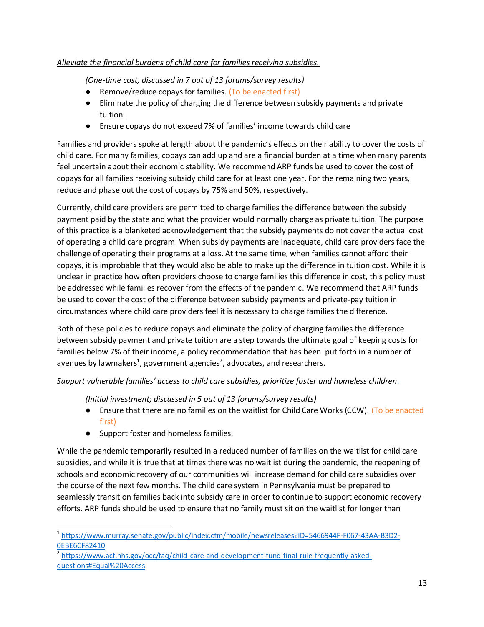## *Alleviate the financial burdens of child care for families receiving subsidies.*

*(One-time cost, discussed in 7 out of 13 forums/survey results)*

- Remove/reduce copays for families. (To be enacted first)
- Eliminate the policy of charging the difference between subsidy payments and private tuition.
- Ensure copays do not exceed 7% of families' income towards child care

Families and providers spoke at length about the pandemic's effects on their ability to cover the costs of child care. For many families, copays can add up and are a financial burden at a time when many parents feel uncertain about their economic stability. We recommend ARP funds be used to cover the cost of copays for all families receiving subsidy child care for at least one year. For the remaining two years, reduce and phase out the cost of copays by 75% and 50%, respectively.

Currently, child care providers are permitted to charge families the difference between the subsidy payment paid by the state and what the provider would normally charge as private tuition. The purpose of this practice is a blanketed acknowledgement that the subsidy payments do not cover the actual cost of operating a child care program. When subsidy payments are inadequate, child care providers face the challenge of operating their programs at a loss. At the same time, when families cannot afford their copays, it is improbable that they would also be able to make up the difference in tuition cost. While it is unclear in practice how often providers choose to charge families this difference in cost, this policy must be addressed while families recover from the effects of the pandemic. We recommend that ARP funds be used to cover the cost of the difference between subsidy payments and private-pay tuition in circumstances where child care providers feel it is necessary to charge families the difference.

Both of these policies to reduce copays and eliminate the policy of charging families the difference between subsidy payment and private tuition are a step towards the ultimate goal of keeping costs for families below 7% of their income, a policy recommendation that has been put forth in a number of avenues by lawmakers<sup>1</sup>, government agencies<sup>2</sup>, advocates, and researchers.

# *Support vulnerable families' access to child care subsidies, prioritize foster and homeless children.*

*(Initial investment; discussed in 5 out of 13 forums/survey results)*

- Ensure that there are no families on the waitlist for Child Care Works (CCW). (To be enacted first)
- Support foster and homeless families.

While the pandemic temporarily resulted in a reduced number of families on the waitlist for child care subsidies, and while it is true that at times there was no waitlist during the pandemic, the reopening of schools and economic recovery of our communities will increase demand for child care subsidies over the course of the next few months. The child care system in Pennsylvania must be prepared to seamlessly transition families back into subsidy care in order to continue to support economic recovery efforts. ARP funds should be used to ensure that no family must sit on the waitlist for longer than

<sup>1</sup> [https://www.murray.senate.gov/public/index.cfm/mobile/newsreleases?ID=5466944F-F067-43AA-B3D2-](about:blank) [0EBE6CF82410](about:blank)

<sup>&</sup>lt;sup>2</sup> [https://www.acf.hhs.gov/occ/faq/child-care-and-development-fund-final-rule-frequently-asked](about:blank)[questions#Equal%20Access](about:blank)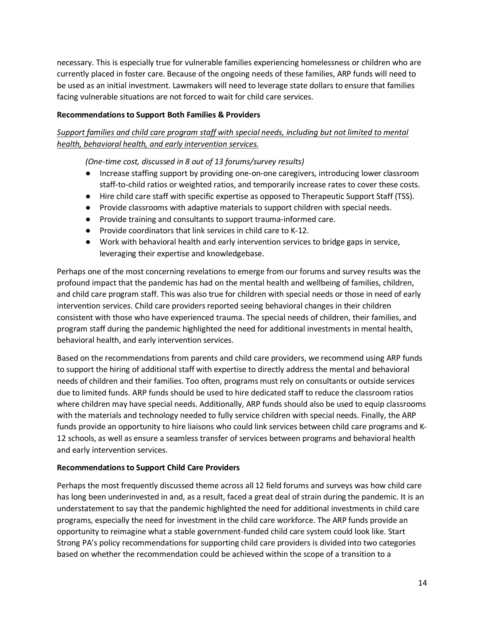necessary. This is especially true for vulnerable families experiencing homelessness or children who are currently placed in foster care. Because of the ongoing needs of these families, ARP funds will need to be used as an initial investment. Lawmakers will need to leverage state dollars to ensure that families facing vulnerable situations are not forced to wait for child care services.

#### **Recommendations to Support Both Families & Providers**

# *Support families and child care program staff with special needs, including but not limited to mental health, behavioral health, and early intervention services.*

*(One-time cost, discussed in 8 out of 13 forums/survey results)*

- Increase staffing support by providing one-on-one caregivers, introducing lower classroom staff-to-child ratios or weighted ratios, and temporarily increase rates to cover these costs.
- Hire child care staff with specific expertise as opposed to Therapeutic Support Staff (TSS).
- Provide classrooms with adaptive materials to support children with special needs.
- Provide training and consultants to support trauma-informed care.
- Provide coordinators that link services in child care to K-12.
- Work with behavioral health and early intervention services to bridge gaps in service, leveraging their expertise and knowledgebase.

Perhaps one of the most concerning revelations to emerge from our forums and survey results was the profound impact that the pandemic has had on the mental health and wellbeing of families, children, and child care program staff. This was also true for children with special needs or those in need of early intervention services. Child care providers reported seeing behavioral changes in their children consistent with those who have experienced trauma. The special needs of children, their families, and program staff during the pandemic highlighted the need for additional investments in mental health, behavioral health, and early intervention services.

Based on the recommendations from parents and child care providers, we recommend using ARP funds to support the hiring of additional staff with expertise to directly address the mental and behavioral needs of children and their families. Too often, programs must rely on consultants or outside services due to limited funds. ARP funds should be used to hire dedicated staff to reduce the classroom ratios where children may have special needs. Additionally, ARP funds should also be used to equip classrooms with the materials and technology needed to fully service children with special needs. Finally, the ARP funds provide an opportunity to hire liaisons who could link services between child care programs and K-12 schools, as well as ensure a seamless transfer of services between programs and behavioral health and early intervention services.

## **Recommendations to Support Child Care Providers**

Perhaps the most frequently discussed theme across all 12 field forums and surveys was how child care has long been underinvested in and, as a result, faced a great deal of strain during the pandemic. It is an understatement to say that the pandemic highlighted the need for additional investments in child care programs, especially the need for investment in the child care workforce. The ARP funds provide an opportunity to reimagine what a stable government-funded child care system could look like. Start Strong PA's policy recommendations for supporting child care providers is divided into two categories based on whether the recommendation could be achieved within the scope of a transition to a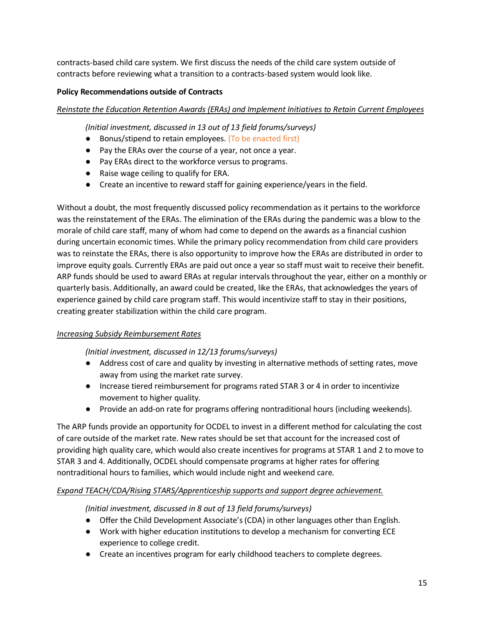contracts-based child care system. We first discuss the needs of the child care system outside of contracts before reviewing what a transition to a contracts-based system would look like.

## **Policy Recommendations outside of Contracts**

*Reinstate the Education Retention Awards (ERAs) and Implement Initiatives to Retain Current Employees*

*(Initial investment, discussed in 13 out of 13 field forums/surveys)*

- Bonus/stipend to retain employees. (To be enacted first)
- Pay the ERAs over the course of a year, not once a year.
- Pay ERAs direct to the workforce versus to programs.
- Raise wage ceiling to qualify for ERA.
- Create an incentive to reward staff for gaining experience/years in the field.

Without a doubt, the most frequently discussed policy recommendation as it pertains to the workforce was the reinstatement of the ERAs. The elimination of the ERAs during the pandemic was a blow to the morale of child care staff, many of whom had come to depend on the awards as a financial cushion during uncertain economic times. While the primary policy recommendation from child care providers was to reinstate the ERAs, there is also opportunity to improve how the ERAs are distributed in order to improve equity goals. Currently ERAs are paid out once a year so staff must wait to receive their benefit. ARP funds should be used to award ERAs at regular intervals throughout the year, either on a monthly or quarterly basis. Additionally, an award could be created, like the ERAs, that acknowledges the years of experience gained by child care program staff. This would incentivize staff to stay in their positions, creating greater stabilization within the child care program.

## *Increasing Subsidy Reimbursement Rates*

*(Initial investment, discussed in 12/13 forums/surveys)*

- Address cost of care and quality by investing in alternative methods of setting rates, move away from using the market rate survey.
- Increase tiered reimbursement for programs rated STAR 3 or 4 in order to incentivize movement to higher quality.
- Provide an add-on rate for programs offering nontraditional hours (including weekends).

The ARP funds provide an opportunity for OCDEL to invest in a different method for calculating the cost of care outside of the market rate. New rates should be set that account for the increased cost of providing high quality care, which would also create incentives for programs at STAR 1 and 2 to move to STAR 3 and 4. Additionally, OCDEL should compensate programs at higher rates for offering nontraditional hours to families, which would include night and weekend care.

## *Expand TEACH/CDA/Rising STARS/Apprenticeship supports and support degree achievement.*

## *(Initial investment, discussed in 8 out of 13 field forums/surveys)*

- Offer the Child Development Associate's (CDA) in other languages other than English.
- Work with higher education institutions to develop a mechanism for converting ECE experience to college credit.
- Create an incentives program for early childhood teachers to complete degrees.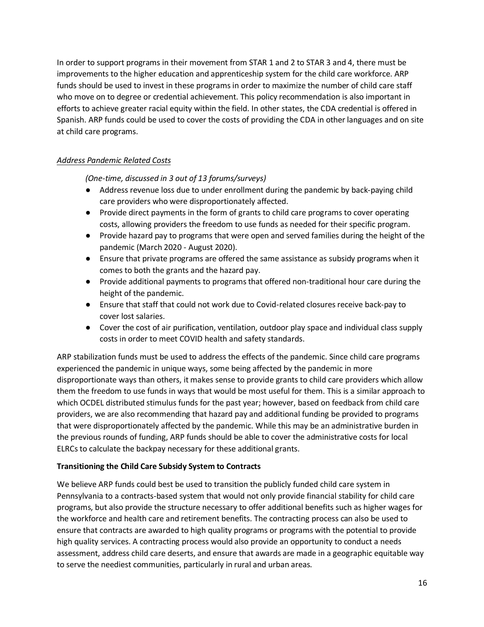In order to support programs in their movement from STAR 1 and 2 to STAR 3 and 4, there must be improvements to the higher education and apprenticeship system for the child care workforce. ARP funds should be used to invest in these programs in order to maximize the number of child care staff who move on to degree or credential achievement. This policy recommendation is also important in efforts to achieve greater racial equity within the field. In other states, the CDA credential is offered in Spanish. ARP funds could be used to cover the costs of providing the CDA in other languages and on site at child care programs.

# *Address Pandemic Related Costs*

*(One-time, discussed in 3 out of 13 forums/surveys)*

- Address revenue loss due to under enrollment during the pandemic by back-paying child care providers who were disproportionately affected.
- Provide direct payments in the form of grants to child care programs to cover operating costs, allowing providers the freedom to use funds as needed for their specific program.
- Provide hazard pay to programs that were open and served families during the height of the pandemic (March 2020 - August 2020).
- Ensure that private programs are offered the same assistance as subsidy programs when it comes to both the grants and the hazard pay.
- Provide additional payments to programs that offered non-traditional hour care during the height of the pandemic.
- Ensure that staff that could not work due to Covid-related closures receive back-pay to cover lost salaries.
- Cover the cost of air purification, ventilation, outdoor play space and individual class supply costs in order to meet COVID health and safety standards.

ARP stabilization funds must be used to address the effects of the pandemic. Since child care programs experienced the pandemic in unique ways, some being affected by the pandemic in more disproportionate ways than others, it makes sense to provide grants to child care providers which allow them the freedom to use funds in ways that would be most useful for them. This is a similar approach to which OCDEL distributed stimulus funds for the past year; however, based on feedback from child care providers, we are also recommending that hazard pay and additional funding be provided to programs that were disproportionately affected by the pandemic. While this may be an administrative burden in the previous rounds of funding, ARP funds should be able to cover the administrative costs for local ELRCs to calculate the backpay necessary for these additional grants.

## **Transitioning the Child Care Subsidy System to Contracts**

We believe ARP funds could best be used to transition the publicly funded child care system in Pennsylvania to a contracts-based system that would not only provide financial stability for child care programs, but also provide the structure necessary to offer additional benefits such as higher wages for the workforce and health care and retirement benefits. The contracting process can also be used to ensure that contracts are awarded to high quality programs or programs with the potential to provide high quality services. A contracting process would also provide an opportunity to conduct a needs assessment, address child care deserts, and ensure that awards are made in a geographic equitable way to serve the neediest communities, particularly in rural and urban areas.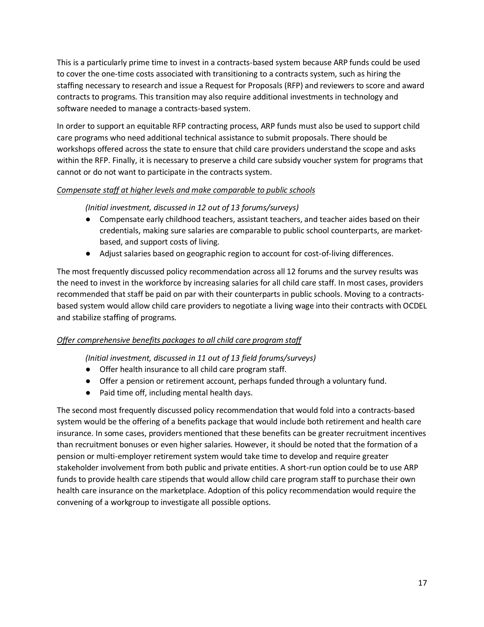This is a particularly prime time to invest in a contracts-based system because ARP funds could be used to cover the one-time costs associated with transitioning to a contracts system, such as hiring the staffing necessary to research and issue a Request for Proposals (RFP) and reviewers to score and award contracts to programs. This transition may also require additional investments in technology and software needed to manage a contracts-based system.

In order to support an equitable RFP contracting process, ARP funds must also be used to support child care programs who need additional technical assistance to submit proposals. There should be workshops offered across the state to ensure that child care providers understand the scope and asks within the RFP. Finally, it is necessary to preserve a child care subsidy voucher system for programs that cannot or do not want to participate in the contracts system.

## *Compensate staff at higher levels and make comparable to public schools*

# *(Initial investment, discussed in 12 out of 13 forums/surveys)*

- Compensate early childhood teachers, assistant teachers, and teacher aides based on their credentials, making sure salaries are comparable to public school counterparts, are marketbased, and support costs of living.
- Adjust salaries based on geographic region to account for cost-of-living differences.

The most frequently discussed policy recommendation across all 12 forums and the survey results was the need to invest in the workforce by increasing salaries for all child care staff. In most cases, providers recommended that staff be paid on par with their counterparts in public schools. Moving to a contractsbased system would allow child care providers to negotiate a living wage into their contracts with OCDEL and stabilize staffing of programs.

# *Offer comprehensive benefits packages to all child care program staff*

*(Initial investment, discussed in 11 out of 13 field forums/surveys)*

- Offer health insurance to all child care program staff.
- Offer a pension or retirement account, perhaps funded through a voluntary fund.
- Paid time off, including mental health days.

The second most frequently discussed policy recommendation that would fold into a contracts-based system would be the offering of a benefits package that would include both retirement and health care insurance. In some cases, providers mentioned that these benefits can be greater recruitment incentives than recruitment bonuses or even higher salaries. However, it should be noted that the formation of a pension or multi-employer retirement system would take time to develop and require greater stakeholder involvement from both public and private entities. A short-run option could be to use ARP funds to provide health care stipends that would allow child care program staff to purchase their own health care insurance on the marketplace. Adoption of this policy recommendation would require the convening of a workgroup to investigate all possible options.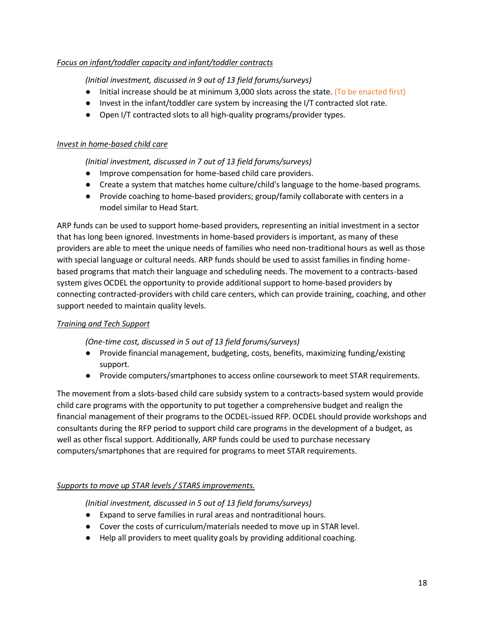## *Focus on infant/toddler capacity and infant/toddler contracts*

#### *(Initial investment, discussed in 9 out of 13 field forums/surveys)*

- Initial increase should be at minimum 3,000 slots across the state. (To be enacted first)
- Invest in the infant/toddler care system by increasing the I/T contracted slot rate.
- Open I/T contracted slots to all high-quality programs/provider types.

#### *Invest in home-based child care*

## *(Initial investment, discussed in 7 out of 13 field forums/surveys)*

- Improve compensation for home-based child care providers.
- Create a system that matches home culture/child's language to the home-based programs.
- Provide coaching to home-based providers; group/family collaborate with centers in a model similar to Head Start.

ARP funds can be used to support home-based providers, representing an initial investment in a sector that has long been ignored. Investments in home-based providers is important, as many of these providers are able to meet the unique needs of families who need non-traditional hours as well as those with special language or cultural needs. ARP funds should be used to assist families in finding homebased programs that match their language and scheduling needs. The movement to a contracts-based system gives OCDEL the opportunity to provide additional support to home-based providers by connecting contracted-providers with child care centers, which can provide training, coaching, and other support needed to maintain quality levels.

## *Training and Tech Support*

#### *(One-time cost, discussed in 5 out of 13 field forums/surveys)*

- Provide financial management, budgeting, costs, benefits, maximizing funding/existing support.
- Provide computers/smartphones to access online coursework to meet STAR requirements.

The movement from a slots-based child care subsidy system to a contracts-based system would provide child care programs with the opportunity to put together a comprehensive budget and realign the financial management of their programs to the OCDEL-issued RFP. OCDEL should provide workshops and consultants during the RFP period to support child care programs in the development of a budget, as well as other fiscal support. Additionally, ARP funds could be used to purchase necessary computers/smartphones that are required for programs to meet STAR requirements.

## *Supports to move up STAR levels / STARS improvements.*

*(Initial investment, discussed in 5 out of 13 field forums/surveys)*

- Expand to serve families in rural areas and nontraditional hours.
- Cover the costs of curriculum/materials needed to move up in STAR level.
- Help all providers to meet quality goals by providing additional coaching.